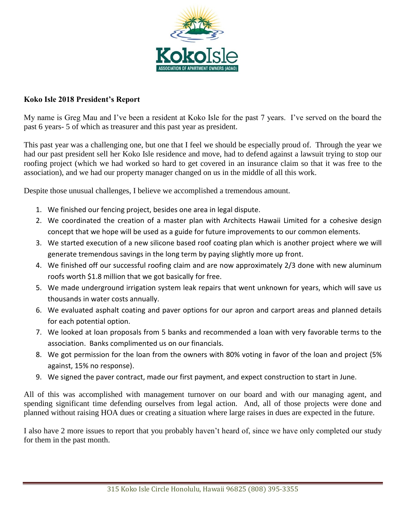

## **Koko Isle 2018 President's Report**

My name is Greg Mau and I've been a resident at Koko Isle for the past 7 years. I've served on the board the past 6 years- 5 of which as treasurer and this past year as president.

This past year was a challenging one, but one that I feel we should be especially proud of. Through the year we had our past president sell her Koko Isle residence and move, had to defend against a lawsuit trying to stop our roofing project (which we had worked so hard to get covered in an insurance claim so that it was free to the association), and we had our property manager changed on us in the middle of all this work.

Despite those unusual challenges, I believe we accomplished a tremendous amount.

- 1. We finished our fencing project, besides one area in legal dispute.
- 2. We coordinated the creation of a master plan with Architects Hawaii Limited for a cohesive design concept that we hope will be used as a guide for future improvements to our common elements.
- 3. We started execution of a new silicone based roof coating plan which is another project where we will generate tremendous savings in the long term by paying slightly more up front.
- 4. We finished off our successful roofing claim and are now approximately 2/3 done with new aluminum roofs worth \$1.8 million that we got basically for free.
- 5. We made underground irrigation system leak repairs that went unknown for years, which will save us thousands in water costs annually.
- 6. We evaluated asphalt coating and paver options for our apron and carport areas and planned details for each potential option.
- 7. We looked at loan proposals from 5 banks and recommended a loan with very favorable terms to the association. Banks complimented us on our financials.
- 8. We got permission for the loan from the owners with 80% voting in favor of the loan and project (5% against, 15% no response).
- 9. We signed the paver contract, made our first payment, and expect construction to start in June.

All of this was accomplished with management turnover on our board and with our managing agent, and spending significant time defending ourselves from legal action. And, all of those projects were done and planned without raising HOA dues or creating a situation where large raises in dues are expected in the future.

I also have 2 more issues to report that you probably haven't heard of, since we have only completed our study for them in the past month.